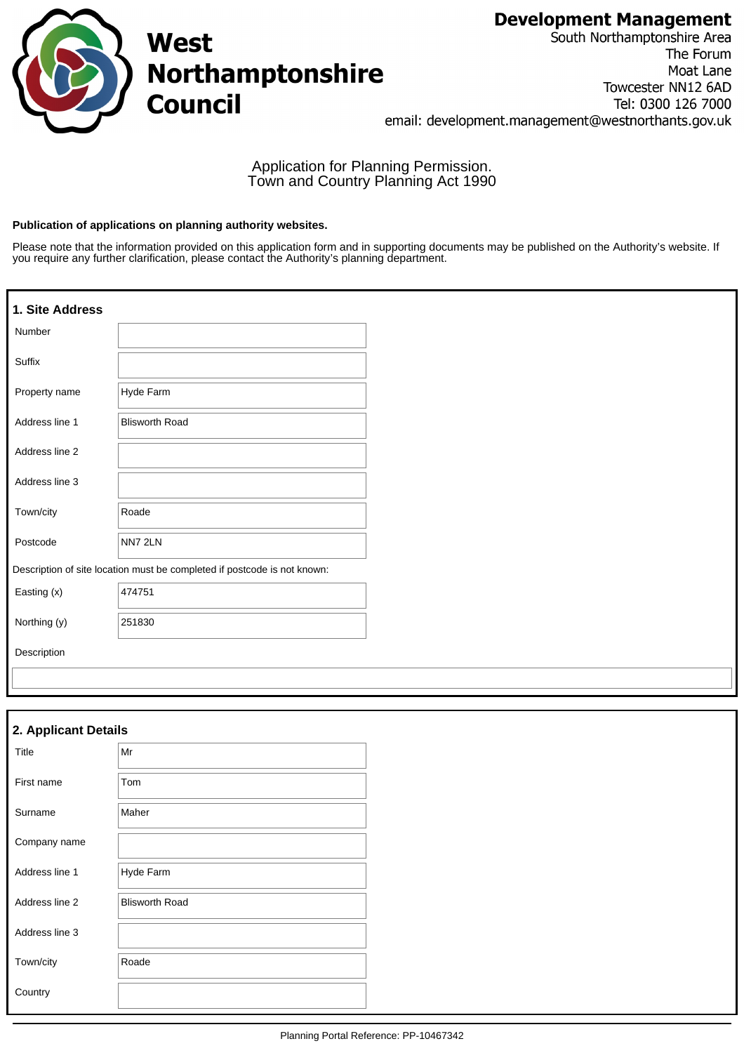# **Development Management**



South Northamptonshire Area The Forum Moat Lane Towcester NN12 6AD Tel: 0300 126 7000 email: development.management@westnorthants.gov.uk

Application for Planning Permission. Town and Country Planning Act 1990

### **Publication of applications on planning authority websites.**

Please note that the information provided on this application form and in supporting documents may be published on the Authority's website. If you require any further clarification, please contact the Authority's planning department.

| 1. Site Address |                                                                          |
|-----------------|--------------------------------------------------------------------------|
| Number          |                                                                          |
| Suffix          |                                                                          |
| Property name   | Hyde Farm                                                                |
| Address line 1  | <b>Blisworth Road</b>                                                    |
| Address line 2  |                                                                          |
| Address line 3  |                                                                          |
| Town/city       | Roade                                                                    |
| Postcode        | NN7 2LN                                                                  |
|                 | Description of site location must be completed if postcode is not known: |
| Easting (x)     | 474751                                                                   |
| Northing (y)    | 251830                                                                   |
| Description     |                                                                          |
|                 |                                                                          |

| 2. Applicant Details |                       |
|----------------------|-----------------------|
| Title                | Mr                    |
| First name           | Tom                   |
| Surname              | Maher                 |
| Company name         |                       |
| Address line 1       | Hyde Farm             |
| Address line 2       | <b>Blisworth Road</b> |
| Address line 3       |                       |
| Town/city            | Roade                 |
| Country              |                       |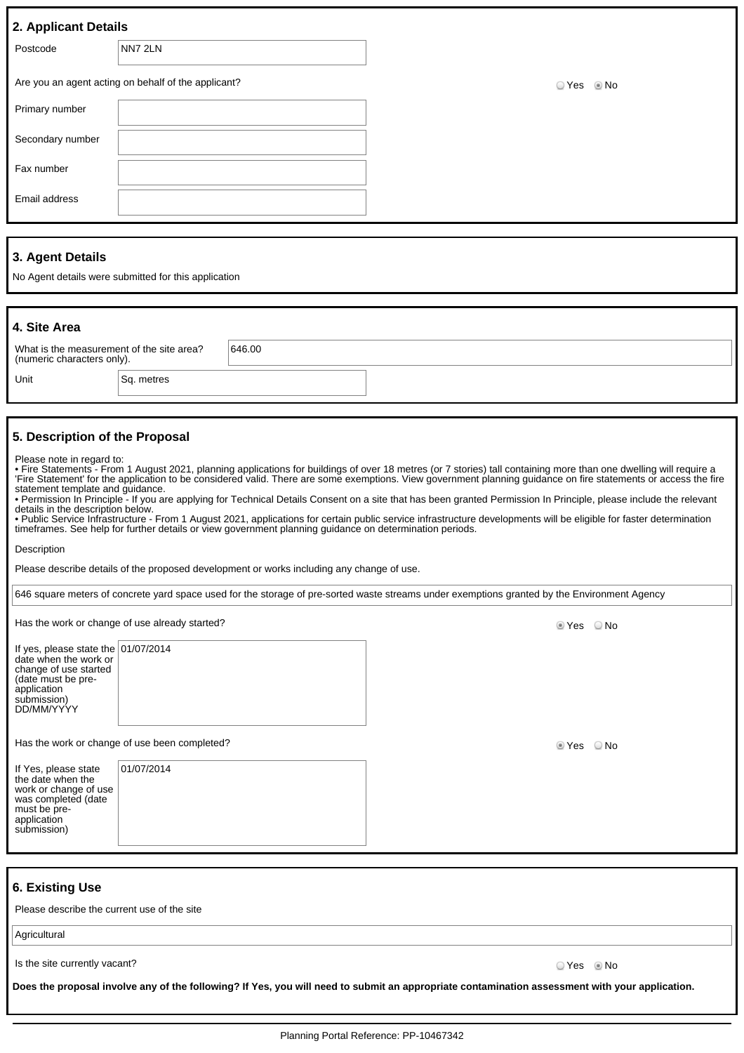| 2. Applicant Details |                                                     |          |
|----------------------|-----------------------------------------------------|----------|
| Postcode             | NN7 2LN                                             |          |
|                      | Are you an agent acting on behalf of the applicant? | ⊙Yes ⊛No |
| Primary number       |                                                     |          |
| Secondary number     |                                                     |          |
| Fax number           |                                                     |          |
| Email address        |                                                     |          |
|                      |                                                     |          |
|                      |                                                     |          |

## **3. Agent Details**

No Agent details were submitted for this application

| 4. Site Area                                                                                                                                 |            |                                                                                                         |                                                                                                                                                                                                                                                                                                                                                                                                                                                                                                                                                                                                                                                                                    |
|----------------------------------------------------------------------------------------------------------------------------------------------|------------|---------------------------------------------------------------------------------------------------------|------------------------------------------------------------------------------------------------------------------------------------------------------------------------------------------------------------------------------------------------------------------------------------------------------------------------------------------------------------------------------------------------------------------------------------------------------------------------------------------------------------------------------------------------------------------------------------------------------------------------------------------------------------------------------------|
| What is the measurement of the site area?<br>(numeric characters only).                                                                      |            | 646.00                                                                                                  |                                                                                                                                                                                                                                                                                                                                                                                                                                                                                                                                                                                                                                                                                    |
| Unit                                                                                                                                         | Sq. metres |                                                                                                         |                                                                                                                                                                                                                                                                                                                                                                                                                                                                                                                                                                                                                                                                                    |
|                                                                                                                                              |            |                                                                                                         |                                                                                                                                                                                                                                                                                                                                                                                                                                                                                                                                                                                                                                                                                    |
| 5. Description of the Proposal                                                                                                               |            |                                                                                                         |                                                                                                                                                                                                                                                                                                                                                                                                                                                                                                                                                                                                                                                                                    |
| Please note in regard to:<br>statement template and quidance.<br>details in the description below.                                           |            | timeframes. See help for further details or view government planning quidance on determination periods. | • Fire Statements - From 1 August 2021, planning applications for buildings of over 18 metres (or 7 stories) tall containing more than one dwelling will require a<br>'Fire Statement' for the application to be considered valid. There are some exemptions. View government planning quidance on fire statements or access the fire<br>• Permission In Principle - If you are applying for Technical Details Consent on a site that has been granted Permission In Principle, please include the relevant<br>. Public Service Infrastructure - From 1 August 2021, applications for certain public service infrastructure developments will be eligible for faster determination |
| Description                                                                                                                                  |            |                                                                                                         |                                                                                                                                                                                                                                                                                                                                                                                                                                                                                                                                                                                                                                                                                    |
|                                                                                                                                              |            | Please describe details of the proposed development or works including any change of use.               |                                                                                                                                                                                                                                                                                                                                                                                                                                                                                                                                                                                                                                                                                    |
|                                                                                                                                              |            |                                                                                                         | 646 square meters of concrete yard space used for the storage of pre-sorted waste streams under exemptions granted by the Environment Agency                                                                                                                                                                                                                                                                                                                                                                                                                                                                                                                                       |
| Has the work or change of use already started?                                                                                               |            |                                                                                                         | ◉ Yes<br>○ No                                                                                                                                                                                                                                                                                                                                                                                                                                                                                                                                                                                                                                                                      |
| If yes, please state the $ 01/07/2014$<br>date when the work or<br>change of use started<br>(date must be pre-<br>application<br>submission) |            |                                                                                                         |                                                                                                                                                                                                                                                                                                                                                                                                                                                                                                                                                                                                                                                                                    |

Has the work or change of use been completed? No was also seen to meet the work or change of use been completed?

| If Yes, please state<br>the date when the<br>work or change of use<br>was completed (date<br>must be pre-<br>application<br>submission) | 01/07/2014 |  |
|-----------------------------------------------------------------------------------------------------------------------------------------|------------|--|
|-----------------------------------------------------------------------------------------------------------------------------------------|------------|--|

## **6. Existing Use**

DD/MM/YYYY

Please describe the current use of the site

Agricultural

Is the site currently vacant? Contact the site currently vacant?

**Does the proposal involve any of the following? If Yes, you will need to submit an appropriate contamination assessment with your application.**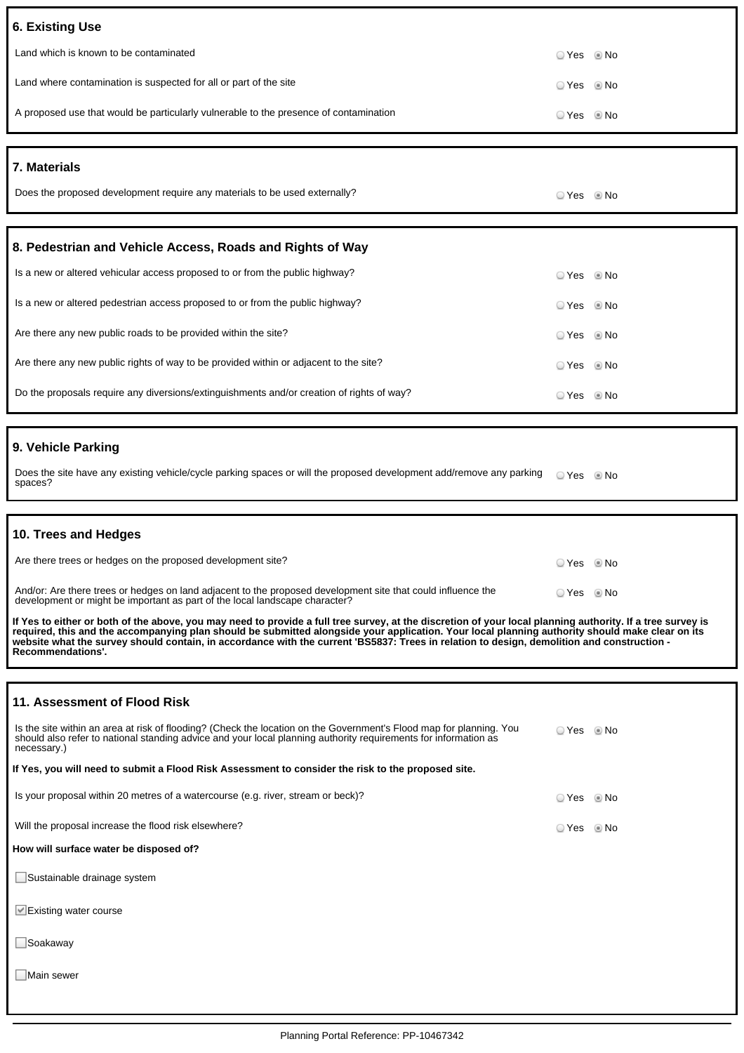| <b>6. Existing Use</b>                                                                                                                                                                                                                                                                                                                                                                                                                                                           |            |      |
|----------------------------------------------------------------------------------------------------------------------------------------------------------------------------------------------------------------------------------------------------------------------------------------------------------------------------------------------------------------------------------------------------------------------------------------------------------------------------------|------------|------|
| Land which is known to be contaminated                                                                                                                                                                                                                                                                                                                                                                                                                                           | ⊙ Yes      | l No |
| Land where contamination is suspected for all or part of the site                                                                                                                                                                                                                                                                                                                                                                                                                | © Yes ◎ No |      |
| A proposed use that would be particularly vulnerable to the presence of contamination                                                                                                                                                                                                                                                                                                                                                                                            | © Yes ◎ No |      |
|                                                                                                                                                                                                                                                                                                                                                                                                                                                                                  |            |      |
| <b>7. Materials</b>                                                                                                                                                                                                                                                                                                                                                                                                                                                              |            |      |
| Does the proposed development require any materials to be used externally?                                                                                                                                                                                                                                                                                                                                                                                                       | ⊙ Yes © No |      |
| 8. Pedestrian and Vehicle Access, Roads and Rights of Way                                                                                                                                                                                                                                                                                                                                                                                                                        |            |      |
| Is a new or altered vehicular access proposed to or from the public highway?                                                                                                                                                                                                                                                                                                                                                                                                     | © Yes      | © No |
| Is a new or altered pedestrian access proposed to or from the public highway?                                                                                                                                                                                                                                                                                                                                                                                                    | ☉ Yes      | © No |
| Are there any new public roads to be provided within the site?                                                                                                                                                                                                                                                                                                                                                                                                                   | ☉ Yes      | © No |
| Are there any new public rights of way to be provided within or adjacent to the site?                                                                                                                                                                                                                                                                                                                                                                                            | ☉ Yes      | © No |
| Do the proposals require any diversions/extinguishments and/or creation of rights of way?                                                                                                                                                                                                                                                                                                                                                                                        | ☉ Yes      | l No |
|                                                                                                                                                                                                                                                                                                                                                                                                                                                                                  |            |      |
| 9. Vehicle Parking                                                                                                                                                                                                                                                                                                                                                                                                                                                               |            |      |
| Does the site have any existing vehicle/cycle parking spaces or will the proposed development add/remove any parking<br>spaces?                                                                                                                                                                                                                                                                                                                                                  | ○ Yes ◎ No |      |
|                                                                                                                                                                                                                                                                                                                                                                                                                                                                                  |            |      |
|                                                                                                                                                                                                                                                                                                                                                                                                                                                                                  |            |      |
| 10. Trees and Hedges                                                                                                                                                                                                                                                                                                                                                                                                                                                             |            |      |
| Are there trees or hedges on the proposed development site?                                                                                                                                                                                                                                                                                                                                                                                                                      | ⊙ Yes © No |      |
| And/or: Are there trees or hedges on land adjacent to the proposed development site that could influence the<br>development or might be important as part of the local landscape character?                                                                                                                                                                                                                                                                                      | ○ Yes ◎ No |      |
| If Yes to either or both of the above, you may need to provide a full tree survey, at the discretion of your local planning authority. If a tree survey is<br>required, this and the accompanying plan should be submitted alongside your application. Your local planning authority should make clear on its<br>website what the survey should contain, in accordance with the current 'BS5837: Trees in relation to design, demolition and construction -<br>Recommendations'. |            |      |
|                                                                                                                                                                                                                                                                                                                                                                                                                                                                                  |            |      |
| 11. Assessment of Flood Risk                                                                                                                                                                                                                                                                                                                                                                                                                                                     |            |      |
| Is the site within an area at risk of flooding? (Check the location on the Government's Flood map for planning. You<br>should also refer to national standing advice and your local planning authority requirements for information as<br>necessary.)                                                                                                                                                                                                                            | ○ Yes ◎ No |      |
| If Yes, you will need to submit a Flood Risk Assessment to consider the risk to the proposed site.                                                                                                                                                                                                                                                                                                                                                                               |            |      |
| Is your proposal within 20 metres of a watercourse (e.g. river, stream or beck)?                                                                                                                                                                                                                                                                                                                                                                                                 | ⊙ Yes © No |      |
| Will the proposal increase the flood risk elsewhere?                                                                                                                                                                                                                                                                                                                                                                                                                             | ⊙ Yes © No |      |
| How will surface water be disposed of?                                                                                                                                                                                                                                                                                                                                                                                                                                           |            |      |
| Sustainable drainage system                                                                                                                                                                                                                                                                                                                                                                                                                                                      |            |      |
| $\vee$ Existing water course                                                                                                                                                                                                                                                                                                                                                                                                                                                     |            |      |
| Soakaway                                                                                                                                                                                                                                                                                                                                                                                                                                                                         |            |      |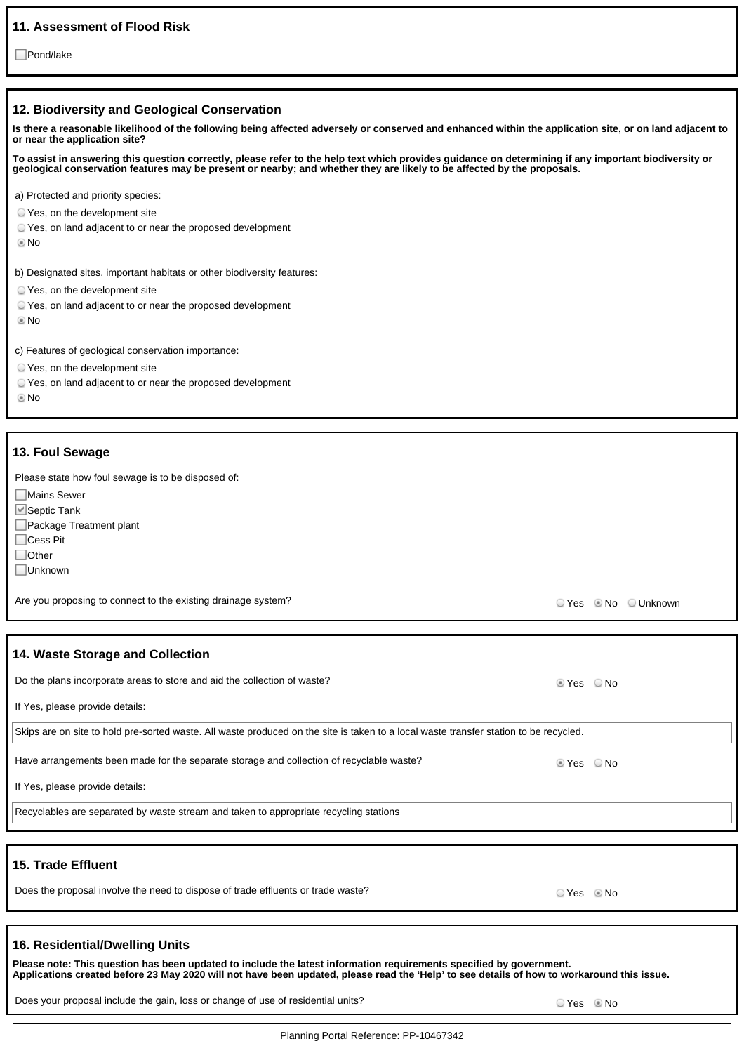## **11. Assessment of Flood Risk**

□Pond/lake

### **12. Biodiversity and Geological Conservation**

**Is there a reasonable likelihood of the following being affected adversely or conserved and enhanced within the application site, or on land adjacent to or near the application site?**

**To assist in answering this question correctly, please refer to the help text which provides guidance on determining if any important biodiversity or geological conservation features may be present or nearby; and whether they are likely to be affected by the proposals.**

a) Protected and priority species:

- Yes, on the development site
- Yes, on land adjacent to or near the proposed development
- No

b) Designated sites, important habitats or other biodiversity features:

- Yes, on the development site
- Yes, on land adjacent to or near the proposed development
- No

c) Features of geological conservation importance:

- Yes, on the development site
- Yes, on land adjacent to or near the proposed development

No

### **13. Foul Sewage**

Please state how foul sewage is to be disposed of:

■Mains Sewer

■Septic Tank

Package Treatment plant

□Cess Pit

□Other

Unknown

Are you proposing to connect to the existing drainage system?<br>
Are you proposing to connect to the existing drainage system?

| 14. Waste Storage and Collection                                                                                                      |         |      |
|---------------------------------------------------------------------------------------------------------------------------------------|---------|------|
| Do the plans incorporate areas to store and aid the collection of waste?                                                              | tes ONo |      |
| If Yes, please provide details:                                                                                                       |         |      |
| Skips are on site to hold pre-sorted waste. All waste produced on the site is taken to a local waste transfer station to be recycled. |         |      |
| Have arrangements been made for the separate storage and collection of recyclable waste?                                              | ⊚ Yes   | ⊙ No |
| If Yes, please provide details:                                                                                                       |         |      |
| Recyclables are separated by waste stream and taken to appropriate recycling stations                                                 |         |      |
|                                                                                                                                       |         |      |
| 15. Trade Effluent                                                                                                                    |         |      |
| Does the proposal involve the need to dispose of trade effluents or trade waste?                                                      | ☉ Yes   | © No |

### **16. Residential/Dwelling Units**

**Please note: This question has been updated to include the latest information requirements specified by government. Applications created before 23 May 2020 will not have been updated, please read the 'Help' to see details of how to workaround this issue.**

Does your proposal include the gain, loss or change of use of residential units?  $\Box$  Yes No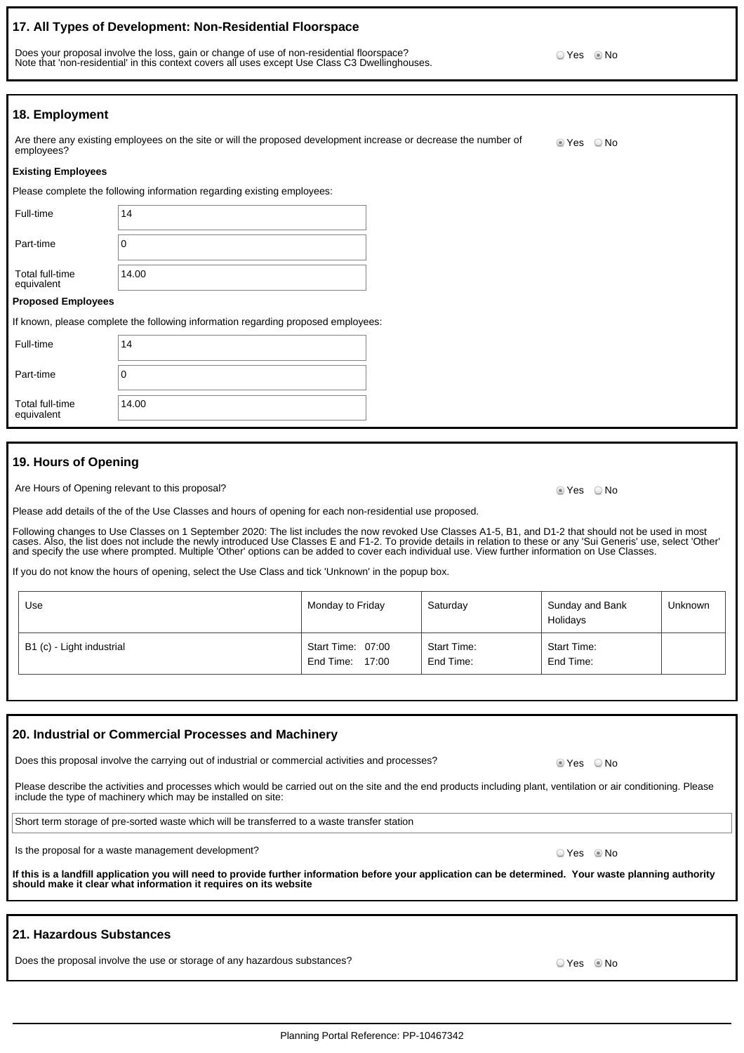## **17. All Types of Development: Non-Residential Floorspace**

Does your proposal involve the loss, gain or change of use of non-residential floorspace? Note that 'non-residential' in this context covers all uses except Use Class C3 Dwellinghouses.

**18. Employment**

| Are there any existing employees on the site or will the proposed development increase or decrease the number of | ◉ Yes | ) No |
|------------------------------------------------------------------------------------------------------------------|-------|------|
| employees?                                                                                                       |       |      |

#### **Existing Employees**

Please complete the following information regarding existing employees:

| Full-time                     | 14    |
|-------------------------------|-------|
| Part-time                     | O     |
| Total full-time<br>equivalent | 14.00 |
| <b>Dronocod Employees</b>     |       |

#### **Proposed Employees**

|                               | If known, please complete the following information regarding proposed employees: |
|-------------------------------|-----------------------------------------------------------------------------------|
| Full-time                     | 14                                                                                |
| Part-time                     | 0                                                                                 |
| Total full-time<br>equivalent | 14.00                                                                             |

## **19. Hours of Opening**

Are Hours of Opening relevant to this proposal? Are No will be a state of the No will be a state of No will be a No

Please add details of the of the Use Classes and hours of opening for each non-residential use proposed.

Following changes to Use Classes on 1 September 2020: The list includes the now revoked Use Classes A1-5, B1, and D1-2 that should not be used in most cases. Also, the list does not include the newly introduced Use Classes E and F1-2. To provide details in relation to these or any 'Sui Generis' use, select 'Other' and specify the use where prompted. Multiple 'Other' options can be added to cover each individual use. View further information on Use Classes.

If you do not know the hours of opening, select the Use Class and tick 'Unknown' in the popup box.

| Use                       | Monday to Friday                     | Saturday                 | Sunday and Bank<br>Holidays | <b>Unknown</b> |
|---------------------------|--------------------------------------|--------------------------|-----------------------------|----------------|
| B1 (c) - Light industrial | Start Time: 07:00<br>End Time: 17:00 | Start Time:<br>End Time: | Start Time:<br>End Time:    |                |

| 20. Industrial or Commercial Processes and Machinery                                                                                                                                                                               |            |  |  |  |
|------------------------------------------------------------------------------------------------------------------------------------------------------------------------------------------------------------------------------------|------------|--|--|--|
| Does this proposal involve the carrying out of industrial or commercial activities and processes?                                                                                                                                  | tes ONo    |  |  |  |
| Please describe the activities and processes which would be carried out on the site and the end products including plant, ventilation or air conditioning. Please<br>include the type of machinery which may be installed on site: |            |  |  |  |
| Short term storage of pre-sorted waste which will be transferred to a waste transfer station                                                                                                                                       |            |  |  |  |
| Is the proposal for a waste management development?                                                                                                                                                                                | ⊙ Yes ◎ No |  |  |  |
| If this is a landfill application you will need to provide further information before your application can be determined. Your waste planning authority<br>should make it clear what information it requires on its website        |            |  |  |  |
|                                                                                                                                                                                                                                    |            |  |  |  |
|                                                                                                                                                                                                                                    |            |  |  |  |

### **21. Hazardous Substances**

Does the proposal involve the use or storage of any hazardous substances? The COMEX COMEX COMEX COMEX COMEX COMEX COMEX COMEX COMEX COMEX COMEX COMEX COMEX COMEX COMEX COMEX COMEX COMEX COMEX COMEX COMEX COMEX COMEX COMEX

© Yes <sup></sup> No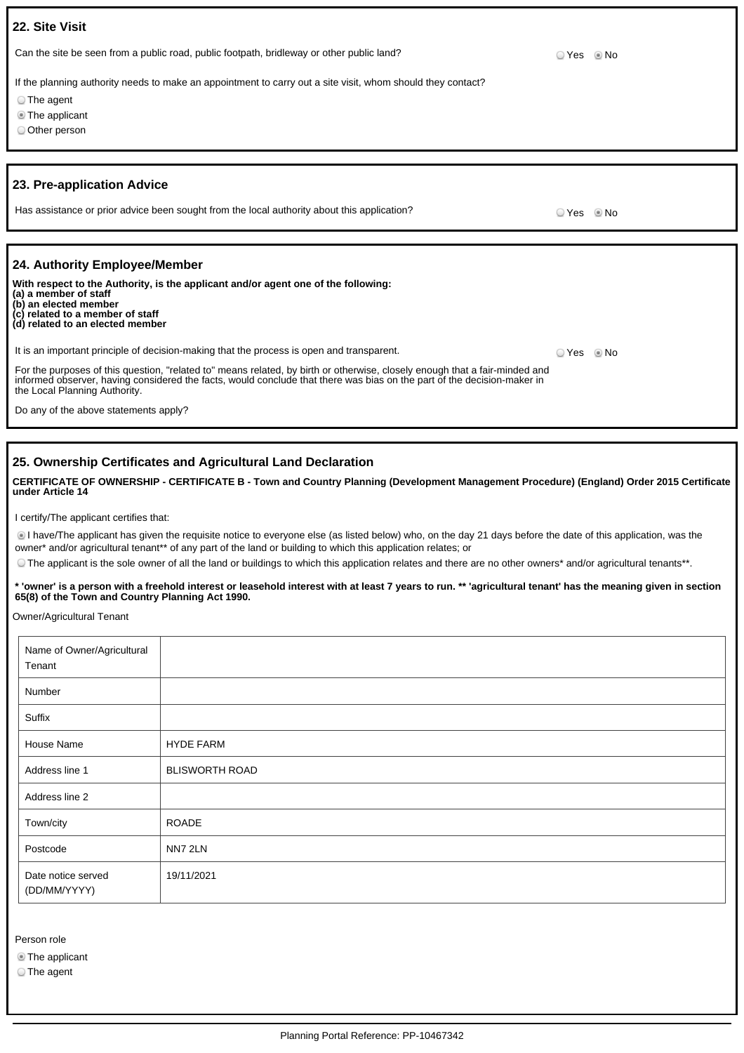| 22. Site Visit                                                                                                                                                                                                                                                                          |            |  |
|-----------------------------------------------------------------------------------------------------------------------------------------------------------------------------------------------------------------------------------------------------------------------------------------|------------|--|
| Can the site be seen from a public road, public footpath, bridleway or other public land?                                                                                                                                                                                               | ○ Yes ◎ No |  |
| If the planning authority needs to make an appointment to carry out a site visit, whom should they contact?                                                                                                                                                                             |            |  |
| ◯ The agent                                                                                                                                                                                                                                                                             |            |  |
| The applicant                                                                                                                                                                                                                                                                           |            |  |
| O Other person                                                                                                                                                                                                                                                                          |            |  |
|                                                                                                                                                                                                                                                                                         |            |  |
| 23. Pre-application Advice                                                                                                                                                                                                                                                              |            |  |
| Has assistance or prior advice been sought from the local authority about this application?                                                                                                                                                                                             | ○ Yes ◎ No |  |
|                                                                                                                                                                                                                                                                                         |            |  |
| 24. Authority Employee/Member                                                                                                                                                                                                                                                           |            |  |
| With respect to the Authority, is the applicant and/or agent one of the following:<br>(a) a member of staff<br>(b) an elected member<br>(c) related to a member of staff<br>(d) related to an elected member                                                                            |            |  |
| It is an important principle of decision-making that the process is open and transparent.                                                                                                                                                                                               | ○ Yes ◎ No |  |
| For the purposes of this question, "related to" means related, by birth or otherwise, closely enough that a fair-minded and<br>informed observer, having considered the facts, would conclude that there was bias on the part of the decision-maker in<br>the Local Planning Authority. |            |  |
| Do any of the above statements apply?                                                                                                                                                                                                                                                   |            |  |

## **25. Ownership Certificates and Agricultural Land Declaration**

**CERTIFICATE OF OWNERSHIP - CERTIFICATE B - Town and Country Planning (Development Management Procedure) (England) Order 2015 Certificate under Article 14**

I certify/The applicant certifies that:

I have/The applicant has given the requisite notice to everyone else (as listed below) who, on the day 21 days before the date of this application, was the owner\* and/or agricultural tenant\*\* of any part of the land or building to which this application relates; or

The applicant is the sole owner of all the land or buildings to which this application relates and there are no other owners\* and/or agricultural tenants\*\*.

**\* 'owner' is a person with a freehold interest or leasehold interest with at least 7 years to run. \*\* 'agricultural tenant' has the meaning given in section 65(8) of the Town and Country Planning Act 1990.**

Owner/Agricultural Tenant

| Name of Owner/Agricultural<br>Tenant |                       |
|--------------------------------------|-----------------------|
| Number                               |                       |
| Suffix                               |                       |
| House Name                           | <b>HYDE FARM</b>      |
| Address line 1                       | <b>BLISWORTH ROAD</b> |
| Address line 2                       |                       |
| Town/city                            | <b>ROADE</b>          |
| Postcode                             | NN7 2LN               |
| Date notice served<br>(DD/MM/YYYY)   | 19/11/2021            |

Person role

The applicant

The agent